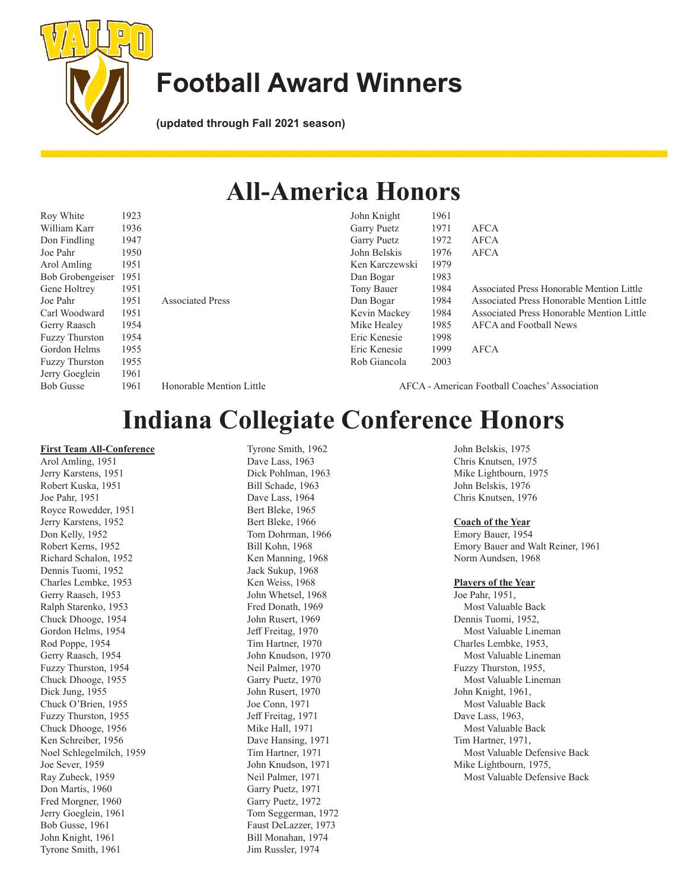

## **Football Award Winners**

**(updated through Fall 2021 season)**

### **All-America Honors**

John Knight 1961

Ken Karczewski 1979 Dan Bogar 1983

Eric Kenesie 1998

Rob Giancola 2003

Garry Puetz 1971 AFCA Garry Puetz 1972 AFCA John Belskis 1976 AFCA

Eric Kenesie 1999 AFCA

| Roy White             | 1923 |
|-----------------------|------|
| William Karr          | 1936 |
| Don Findling          | 1947 |
| Joe Pahr              | 1950 |
| Arol Amling           | 1951 |
| Bob Grobengeiser      | 1951 |
| Gene Holtrey          | 1951 |
| Joe Pahr              | 1951 |
| Carl Woodward         | 1951 |
| Gerry Raasch          | 1954 |
| <b>Fuzzy Thurston</b> | 1954 |
| Gordon Helms          | 1955 |
| <b>Fuzzy Thurston</b> | 1955 |
| Jerry Goeglein        | 1961 |
| <b>Bob Gusse</b>      | 1961 |
|                       |      |

Honorable Mention Little

Associated Press

AFCA - American Football Coaches' Association

Tony Bauer 1984 Associated Press Honorable Mention Little Dan Bogar 1984 Associated Press Honorable Mention Little Kevin Mackey 1984 Associated Press Honorable Mention Little

Mike Healey 1985 AFCA and Football News

### **Indiana Collegiate Conference Honors**

#### **First Team All-Conference**

Arol Amling, 1951 Jerry Karstens, 1951 Robert Kuska, 1951 Joe Pahr, 1951 Royce Rowedder, 1951 Jerry Karstens, 1952 Don Kelly, 1952 Robert Kerns, 1952 Richard Schalon, 1952 Dennis Tuomi, 1952 Charles Lembke, 1953 Gerry Raasch, 1953 Ralph Starenko, 1953 Chuck Dhooge, 1954 Gordon Helms, 1954 Rod Poppe, 1954 Gerry Raasch, 1954 Fuzzy Thurston, 1954 Chuck Dhooge, 1955 Dick Jung, 1955 Chuck O'Brien, 1955 Fuzzy Thurston, 1955 Chuck Dhooge, 1956 Ken Schreiber, 1956 Noel Schlegelmilch, 1959 Joe Sever, 1959 Ray Zubeck, 1959 Don Martis, 1960 Fred Morgner, 1960 Jerry Goeglein, 1961 Bob Gusse, 1961 John Knight, 1961 Tyrone Smith, 1961

Tyrone Smith, 1962 Dave Lass, 1963 Dick Pohlman, 1963 Bill Schade, 1963 Dave Lass, 1964 Bert Bleke, 1965 Bert Bleke, 1966 Tom Dohrman, 1966 Bill Kohn, 1968 Ken Manning, 1968 Jack Sukup, 1968 Ken Weiss, 1968 John Whetsel, 1968 Fred Donath, 1969 John Rusert, 1969 Jeff Freitag, 1970 Tim Hartner, 1970 John Knudson, 1970 Neil Palmer, 1970 Garry Puetz, 1970 John Rusert, 1970 Joe Conn, 1971 Jeff Freitag, 1971 Mike Hall, 1971 Dave Hansing, 1971 Tim Hartner, 1971 John Knudson, 1971 Neil Palmer, 1971 Garry Puetz, 1971 Garry Puetz, 1972 Tom Seggerman, 1972 Faust DeLazzer, 1973 Bill Monahan, 1974 Jim Russler, 1974

John Belskis, 1975 Chris Knutsen, 1975 Mike Lightbourn, 1975 John Belskis, 1976 Chris Knutsen, 1976

#### **Coach of the Year**

Emory Bauer, 1954 Emory Bauer and Walt Reiner, 1961 Norm Aundsen, 1968

#### **Players of the Year**

Joe Pahr, 1951, Most Valuable Back Dennis Tuomi, 1952, Most Valuable Lineman Charles Lembke, 1953, Most Valuable Lineman Fuzzy Thurston, 1955, Most Valuable Lineman John Knight, 1961, Most Valuable Back Dave Lass, 1963, Most Valuable Back Tim Hartner, 1971, Most Valuable Defensive Back Mike Lightbourn, 1975, Most Valuable Defensive Back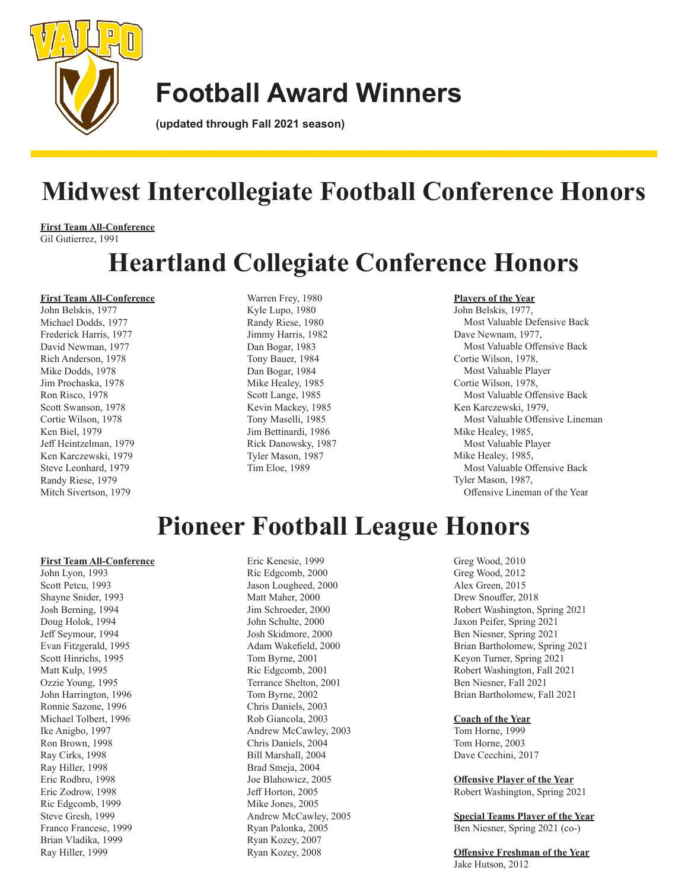

## **Football Award Winners**

**(updated through Fall 2021 season)**

# **Midwest Intercollegiate Football Conference Honors**

**First Team All-Conference** Gil Gutierrez, 1991

# **Heartland Collegiate Conference Honors**

### **First Team All-Conference**

John Belskis, 1977 Michael Dodds, 1977 Frederick Harris, 1977 David Newman, 1977 Rich Anderson, 1978 Mike Dodds, 1978 Jim Prochaska, 1978 Ron Risco, 1978 Scott Swanson, 1978 Cortie Wilson, 1978 Ken Biel, 1979 Jeff Heintzelman, 1979 Ken Karczewski, 1979 Steve Leonhard, 1979 Randy Riese, 1979 Mitch Sivertson, 1979

Warren Frey, 1980 Kyle Lupo, 1980 Randy Riese, 1980 Jimmy Harris, 1982 Dan Bogar, 1983 Tony Bauer, 1984 Dan Bogar, 1984 Mike Healey, 1985 Scott Lange, 1985 Kevin Mackey, 1985 Tony Maselli, 1985 Jim Bettinardi, 1986 Rick Danowsky, 1987 Tyler Mason, 1987 Tim Eloe, 1989

### **Players of the Year**

John Belskis, 1977, Most Valuable Defensive Back Dave Newnam, 1977, Most Valuable Offensive Back Cortie Wilson, 1978, Most Valuable Player Cortie Wilson, 1978, Most Valuable Offensive Back Ken Karczewski, 1979, Most Valuable Offensive Lineman Mike Healey, 1985, Most Valuable Player Mike Healey, 1985, Most Valuable Offensive Back Tyler Mason, 1987, Offensive Lineman of the Year

# **Pioneer Football League Honors**

### **First Team All-Conference**

John Lyon, 1993 Scott Petcu, 1993 Shayne Snider, 1993 Josh Berning, 1994 Doug Holok, 1994 Jeff Seymour, 1994 Evan Fitzgerald, 1995 Scott Hinrichs, 1995 Matt Kulp, 1995 Ozzie Young, 1995 John Harrington, 1996 Ronnie Sazone, 1996 Michael Tolbert, 1996 Ike Anigbo, 1997 Ron Brown, 1998 Ray Cirks, 1998 Ray Hiller, 1998 Eric Rodbro, 1998 Eric Zodrow, 1998 Ric Edgcomb, 1999 Steve Gresh, 1999 Franco Francese, 1999 Brian Vladika, 1999 Ray Hiller, 1999

Eric Kenesie, 1999 Ric Edgcomb, 2000 Jason Lougheed, 2000 Matt Maher, 2000 Jim Schroeder, 2000 John Schulte, 2000 Josh Skidmore, 2000 Adam Wakefield, 2000 Tom Byrne, 2001 Ric Edgcomb, 2001 Terrance Shelton, 2001 Tom Byrne, 2002 Chris Daniels, 2003 Rob Giancola, 2003 Andrew McCawley, 2003 Chris Daniels, 2004 Bill Marshall, 2004 Brad Smeja, 2004 Joe Blahowicz, 2005 Jeff Horton, 2005 Mike Jones, 2005 Andrew McCawley, 2005 Ryan Palonka, 2005 Ryan Kozey, 2007 Ryan Kozey, 2008

Greg Wood, 2010 Greg Wood, 2012 Alex Green, 2015 Drew Snouffer, 2018 Robert Washington, Spring 2021 Jaxon Peifer, Spring 2021 Ben Niesner, Spring 2021 Brian Bartholomew, Spring 2021 Keyon Turner, Spring 2021 Robert Washington, Fall 2021 Ben Niesner, Fall 2021 Brian Bartholomew, Fall 2021

#### **Coach of the Year**

Tom Horne, 1999 Tom Horne, 2003 Dave Cecchini, 2017

**Offensive Player of the Year** Robert Washington, Spring 2021

**Special Teams Player of the Year** Ben Niesner, Spring 2021 (co-)

**Offensive Freshman of the Year** Jake Hutson, 2012